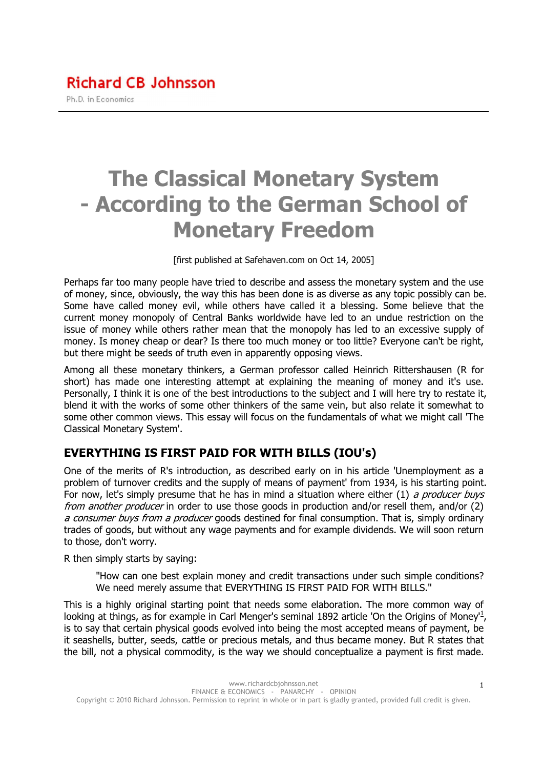# The Classical Monetary System - According to the German School of Monetary Freedom

[first published at Safehaven.com on Oct 14, 2005]

Perhaps far too many people have tried to describe and assess the monetary system and the use of money, since, obviously, the way this has been done is as diverse as any topic possibly can be. Some have called money evil, while others have called it a blessing. Some believe that the current money monopoly of Central Banks worldwide have led to an undue restriction on the issue of money while others rather mean that the monopoly has led to an excessive supply of money. Is money cheap or dear? Is there too much money or too little? Everyone can't be right, but there might be seeds of truth even in apparently opposing views.

Among all these monetary thinkers, a German professor called Heinrich Rittershausen (R for short) has made one interesting attempt at explaining the meaning of money and it's use. Personally, I think it is one of the best introductions to the subject and I will here try to restate it, blend it with the works of some other thinkers of the same vein, but also relate it somewhat to some other common views. This essay will focus on the fundamentals of what we might call 'The Classical Monetary System'.

#### EVERYTHING IS FIRST PAID FOR WITH BILLS (IOU's)

One of the merits of R's introduction, as described early on in his article 'Unemployment as a problem of turnover credits and the supply of means of payment' from 1934, is his starting point. For now, let's simply presume that he has in mind a situation where either  $(1)$  a producer buys from another producer in order to use those goods in production and/or resell them, and/or (2) a consumer buys from a producer goods destined for final consumption. That is, simply ordinary trades of goods, but without any wage payments and for example dividends. We will soon return to those, don't worry.

R then simply starts by saying:

"How can one best explain money and credit transactions under such simple conditions? We need merely assume that EVERYTHING IS FIRST PAID FOR WITH BILLS."

This is a highly original starting point that needs some elaboration. The more common way of looking at things, as for example in Carl Menger's seminal 1892 article 'On the Origins of Money<sup>11</sup>, is to say that certain physical goods evolved into being the most accepted means of payment, be it seashells, butter, seeds, cattle or precious metals, and thus became money. But R states that the bill, not a physical commodity, is the way we should conceptualize a payment is first made.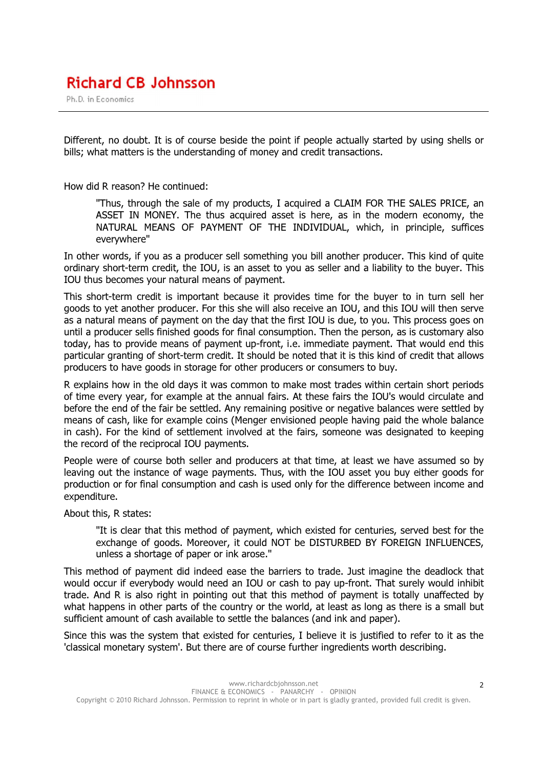Ph.D. in Economics

Different, no doubt. It is of course beside the point if people actually started by using shells or bills; what matters is the understanding of money and credit transactions.

How did R reason? He continued:

"Thus, through the sale of my products, I acquired a CLAIM FOR THE SALES PRICE, an ASSET IN MONEY. The thus acquired asset is here, as in the modern economy, the NATURAL MEANS OF PAYMENT OF THE INDIVIDUAL, which, in principle, suffices everywhere"

In other words, if you as a producer sell something you bill another producer. This kind of quite ordinary short-term credit, the IOU, is an asset to you as seller and a liability to the buyer. This IOU thus becomes your natural means of payment.

This short-term credit is important because it provides time for the buyer to in turn sell her goods to yet another producer. For this she will also receive an IOU, and this IOU will then serve as a natural means of payment on the day that the first IOU is due, to you. This process goes on until a producer sells finished goods for final consumption. Then the person, as is customary also today, has to provide means of payment up-front, i.e. immediate payment. That would end this particular granting of short-term credit. It should be noted that it is this kind of credit that allows producers to have goods in storage for other producers or consumers to buy.

R explains how in the old days it was common to make most trades within certain short periods of time every year, for example at the annual fairs. At these fairs the IOU's would circulate and before the end of the fair be settled. Any remaining positive or negative balances were settled by means of cash, like for example coins (Menger envisioned people having paid the whole balance in cash). For the kind of settlement involved at the fairs, someone was designated to keeping the record of the reciprocal IOU payments.

People were of course both seller and producers at that time, at least we have assumed so by leaving out the instance of wage payments. Thus, with the IOU asset you buy either goods for production or for final consumption and cash is used only for the difference between income and expenditure.

About this, R states:

"It is clear that this method of payment, which existed for centuries, served best for the exchange of goods. Moreover, it could NOT be DISTURBED BY FOREIGN INFLUENCES, unless a shortage of paper or ink arose."

This method of payment did indeed ease the barriers to trade. Just imagine the deadlock that would occur if everybody would need an IOU or cash to pay up-front. That surely would inhibit trade. And R is also right in pointing out that this method of payment is totally unaffected by what happens in other parts of the country or the world, at least as long as there is a small but sufficient amount of cash available to settle the balances (and ink and paper).

Since this was the system that existed for centuries, I believe it is justified to refer to it as the 'classical monetary system'. But there are of course further ingredients worth describing.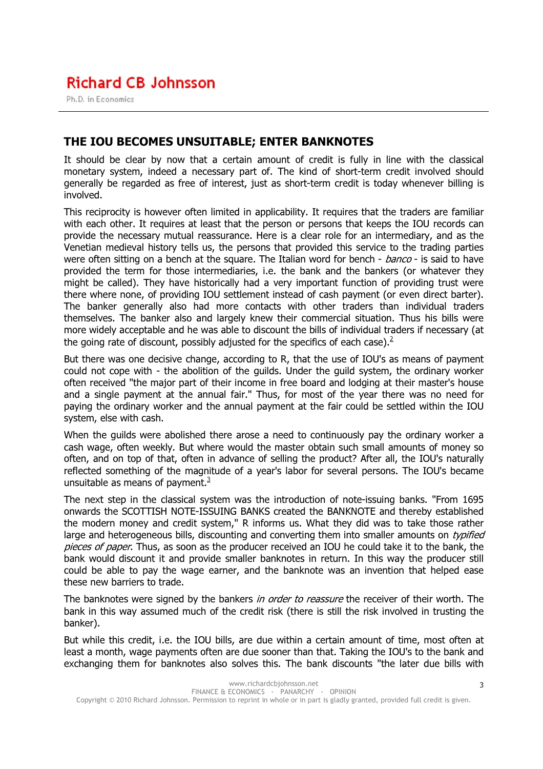Ph.D. in Economics

#### THE IOU BECOMES UNSUITABLE; ENTER BANKNOTES

It should be clear by now that a certain amount of credit is fully in line with the classical monetary system, indeed a necessary part of. The kind of short-term credit involved should generally be regarded as free of interest, just as short-term credit is today whenever billing is involved.

This reciprocity is however often limited in applicability. It requires that the traders are familiar with each other. It requires at least that the person or persons that keeps the IOU records can provide the necessary mutual reassurance. Here is a clear role for an intermediary, and as the Venetian medieval history tells us, the persons that provided this service to the trading parties were often sitting on a bench at the square. The Italian word for bench - banco - is said to have provided the term for those intermediaries, i.e. the bank and the bankers (or whatever they might be called). They have historically had a very important function of providing trust were there where none, of providing IOU settlement instead of cash payment (or even direct barter). The banker generally also had more contacts with other traders than individual traders themselves. The banker also and largely knew their commercial situation. Thus his bills were more widely acceptable and he was able to discount the bills of individual traders if necessary (at the going rate of discount, possibly adjusted for the specifics of each case).<sup>2</sup>

But there was one decisive change, according to R, that the use of IOU's as means of payment could not cope with - the abolition of the guilds. Under the guild system, the ordinary worker often received "the major part of their income in free board and lodging at their master's house and a single payment at the annual fair." Thus, for most of the year there was no need for paying the ordinary worker and the annual payment at the fair could be settled within the IOU system, else with cash.

When the guilds were abolished there arose a need to continuously pay the ordinary worker a cash wage, often weekly. But where would the master obtain such small amounts of money so often, and on top of that, often in advance of selling the product? After all, the IOU's naturally reflected something of the magnitude of a year's labor for several persons. The IOU's became unsuitable as means of payment. $3$ 

The next step in the classical system was the introduction of note-issuing banks. "From 1695 onwards the SCOTTISH NOTE-ISSUING BANKS created the BANKNOTE and thereby established the modern money and credit system," R informs us. What they did was to take those rather large and heterogeneous bills, discounting and converting them into smaller amounts on *typified* pieces of paper. Thus, as soon as the producer received an IOU he could take it to the bank, the bank would discount it and provide smaller banknotes in return. In this way the producer still could be able to pay the wage earner, and the banknote was an invention that helped ease these new barriers to trade.

The banknotes were signed by the bankers *in order to reassure* the receiver of their worth. The bank in this way assumed much of the credit risk (there is still the risk involved in trusting the banker).

But while this credit, i.e. the IOU bills, are due within a certain amount of time, most often at least a month, wage payments often are due sooner than that. Taking the IOU's to the bank and exchanging them for banknotes also solves this. The bank discounts "the later due bills with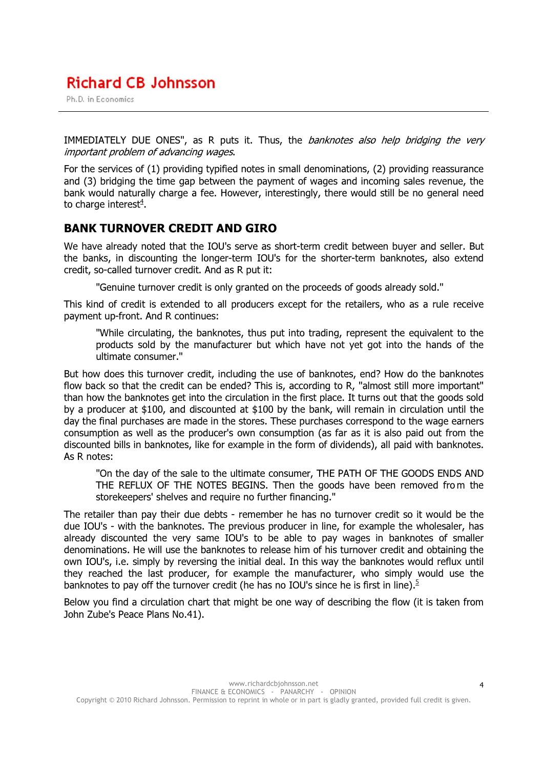Ph.D. in Economics

IMMEDIATELY DUE ONES", as R puts it. Thus, the *banknotes also help bridging the very* important problem of advancing wages.

For the services of (1) providing typified notes in small denominations, (2) providing reassurance and (3) bridging the time gap between the payment of wages and incoming sales revenue, the bank would naturally charge a fee. However, interestingly, there would still be no general need to charge interest<sup>4</sup>.

#### BANK TURNOVER CREDIT AND GIRO

We have already noted that the IOU's serve as short-term credit between buyer and seller. But the banks, in discounting the longer-term IOU's for the shorter-term banknotes, also extend credit, so-called turnover credit. And as R put it:

"Genuine turnover credit is only granted on the proceeds of goods already sold."

This kind of credit is extended to all producers except for the retailers, who as a rule receive payment up-front. And R continues:

"While circulating, the banknotes, thus put into trading, represent the equivalent to the products sold by the manufacturer but which have not yet got into the hands of the ultimate consumer."

But how does this turnover credit, including the use of banknotes, end? How do the banknotes flow back so that the credit can be ended? This is, according to R, "almost still more important" than how the banknotes get into the circulation in the first place. It turns out that the goods sold by a producer at \$100, and discounted at \$100 by the bank, will remain in circulation until the day the final purchases are made in the stores. These purchases correspond to the wage earners consumption as well as the producer's own consumption (as far as it is also paid out from the discounted bills in banknotes, like for example in the form of dividends), all paid with banknotes. As R notes:

"On the day of the sale to the ultimate consumer, THE PATH OF THE GOODS ENDS AND THE REFLUX OF THE NOTES BEGINS. Then the goods have been removed from the storekeepers' shelves and require no further financing."

The retailer than pay their due debts - remember he has no turnover credit so it would be the due IOU's - with the banknotes. The previous producer in line, for example the wholesaler, has already discounted the very same IOU's to be able to pay wages in banknotes of smaller denominations. He will use the banknotes to release him of his turnover credit and obtaining the own IOU's, i.e. simply by reversing the initial deal. In this way the banknotes would reflux until they reached the last producer, for example the manufacturer, who simply would use the banknotes to pay off the turnover credit (he has no IOU's since he is first in line).<sup>5</sup>

Below you find a circulation chart that might be one way of describing the flow (it is taken from John Zube's Peace Plans No.41).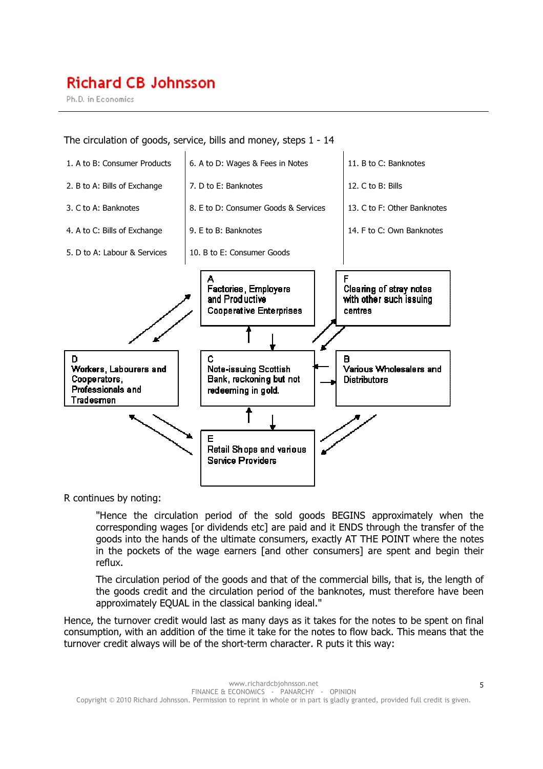Ph.D. in Economics

The circulation of goods, service, bills and money, steps 1 - 14



R continues by noting:

"Hence the circulation period of the sold goods BEGINS approximately when the corresponding wages [or dividends etc] are paid and it ENDS through the transfer of the goods into the hands of the ultimate consumers, exactly AT THE POINT where the notes in the pockets of the wage earners [and other consumers] are spent and begin their reflux.

The circulation period of the goods and that of the commercial bills, that is, the length of the goods credit and the circulation period of the banknotes, must therefore have been approximately EQUAL in the classical banking ideal."

Hence, the turnover credit would last as many days as it takes for the notes to be spent on final consumption, with an addition of the time it take for the notes to flow back. This means that the turnover credit always will be of the short-term character. R puts it this way: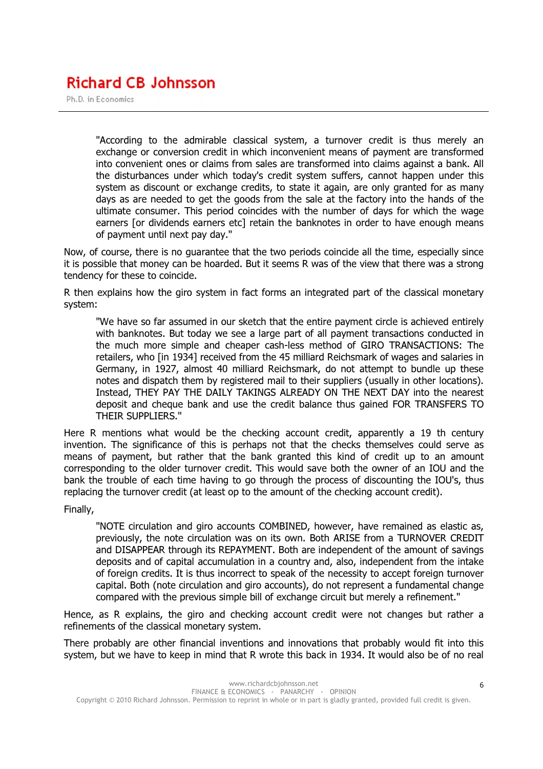Ph.D. in Economics

"According to the admirable classical system, a turnover credit is thus merely an exchange or conversion credit in which inconvenient means of payment are transformed into convenient ones or claims from sales are transformed into claims against a bank. All the disturbances under which today's credit system suffers, cannot happen under this system as discount or exchange credits, to state it again, are only granted for as many days as are needed to get the goods from the sale at the factory into the hands of the ultimate consumer. This period coincides with the number of days for which the wage earners [or dividends earners etc] retain the banknotes in order to have enough means of payment until next pay day."

Now, of course, there is no guarantee that the two periods coincide all the time, especially since it is possible that money can be hoarded. But it seems R was of the view that there was a strong tendency for these to coincide.

R then explains how the giro system in fact forms an integrated part of the classical monetary system:

"We have so far assumed in our sketch that the entire payment circle is achieved entirely with banknotes. But today we see a large part of all payment transactions conducted in the much more simple and cheaper cash-less method of GIRO TRANSACTIONS: The retailers, who [in 1934] received from the 45 milliard Reichsmark of wages and salaries in Germany, in 1927, almost 40 milliard Reichsmark, do not attempt to bundle up these notes and dispatch them by registered mail to their suppliers (usually in other locations). Instead, THEY PAY THE DAILY TAKINGS ALREADY ON THE NEXT DAY into the nearest deposit and cheque bank and use the credit balance thus gained FOR TRANSFERS TO THEIR SUPPLIERS."

Here R mentions what would be the checking account credit, apparently a 19 th century invention. The significance of this is perhaps not that the checks themselves could serve as means of payment, but rather that the bank granted this kind of credit up to an amount corresponding to the older turnover credit. This would save both the owner of an IOU and the bank the trouble of each time having to go through the process of discounting the IOU's, thus replacing the turnover credit (at least op to the amount of the checking account credit).

Finally,

"NOTE circulation and giro accounts COMBINED, however, have remained as elastic as, previously, the note circulation was on its own. Both ARISE from a TURNOVER CREDIT and DISAPPEAR through its REPAYMENT. Both are independent of the amount of savings deposits and of capital accumulation in a country and, also, independent from the intake of foreign credits. It is thus incorrect to speak of the necessity to accept foreign turnover capital. Both (note circulation and giro accounts), do not represent a fundamental change compared with the previous simple bill of exchange circuit but merely a refinement."

Hence, as R explains, the giro and checking account credit were not changes but rather a refinements of the classical monetary system.

There probably are other financial inventions and innovations that probably would fit into this system, but we have to keep in mind that R wrote this back in 1934. It would also be of no real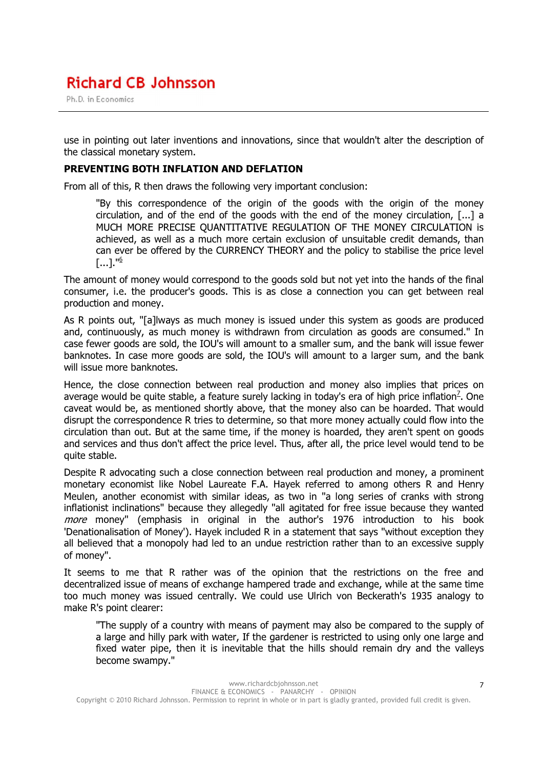Ph.D. in Economics

use in pointing out later inventions and innovations, since that wouldn't alter the description of the classical monetary system.

#### PREVENTING BOTH INFLATION AND DEFLATION

From all of this, R then draws the following very important conclusion:

"By this correspondence of the origin of the goods with the origin of the money circulation, and of the end of the goods with the end of the money circulation, [...] a MUCH MORE PRECISE QUANTITATIVE REGULATION OF THE MONEY CIRCULATION is achieved, as well as a much more certain exclusion of unsuitable credit demands, than can ever be offered by the CURRENCY THEORY and the policy to stabilise the price level  $[...]$ ."<u>6</u>

The amount of money would correspond to the goods sold but not yet into the hands of the final consumer, i.e. the producer's goods. This is as close a connection you can get between real production and money.

As R points out, "[a]lways as much money is issued under this system as goods are produced and, continuously, as much money is withdrawn from circulation as goods are consumed." In case fewer goods are sold, the IOU's will amount to a smaller sum, and the bank will issue fewer banknotes. In case more goods are sold, the IOU's will amount to a larger sum, and the bank will issue more banknotes.

Hence, the close connection between real production and money also implies that prices on average would be quite stable, a feature surely lacking in today's era of high price inflation<sup>2</sup>. One caveat would be, as mentioned shortly above, that the money also can be hoarded. That would disrupt the correspondence R tries to determine, so that more money actually could flow into the circulation than out. But at the same time, if the money is hoarded, they aren't spent on goods and services and thus don't affect the price level. Thus, after all, the price level would tend to be quite stable.

Despite R advocating such a close connection between real production and money, a prominent monetary economist like Nobel Laureate F.A. Hayek referred to among others R and Henry Meulen, another economist with similar ideas, as two in "a long series of cranks with strong inflationist inclinations" because they allegedly "all agitated for free issue because they wanted *more* money" (emphasis in original in the author's 1976 introduction to his book 'Denationalisation of Money'). Hayek included R in a statement that says "without exception they all believed that a monopoly had led to an undue restriction rather than to an excessive supply of money".

It seems to me that R rather was of the opinion that the restrictions on the free and decentralized issue of means of exchange hampered trade and exchange, while at the same time too much money was issued centrally. We could use Ulrich von Beckerath's 1935 analogy to make R's point clearer:

"The supply of a country with means of payment may also be compared to the supply of a large and hilly park with water, If the gardener is restricted to using only one large and fixed water pipe, then it is inevitable that the hills should remain dry and the valleys become swampy."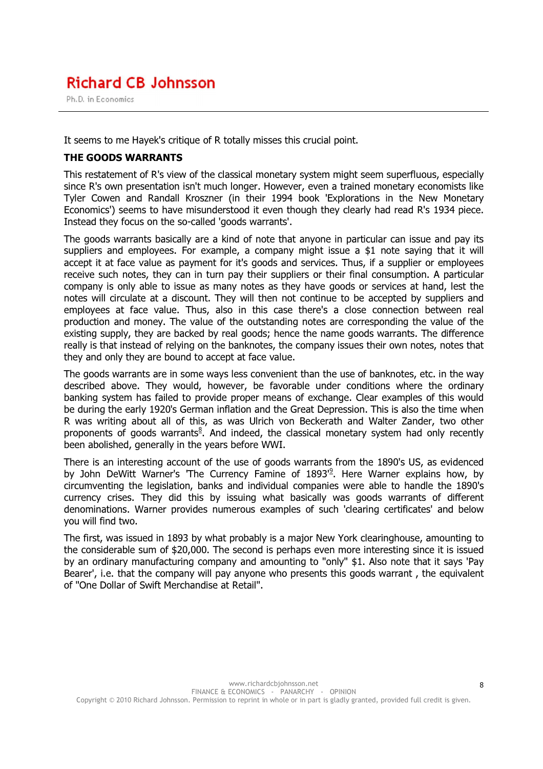Ph.D. in Economics

It seems to me Hayek's critique of R totally misses this crucial point.

#### THE GOODS WARRANTS

This restatement of R's view of the classical monetary system might seem superfluous, especially since R's own presentation isn't much longer. However, even a trained monetary economists like Tyler Cowen and Randall Kroszner (in their 1994 book 'Explorations in the New Monetary Economics') seems to have misunderstood it even though they clearly had read R's 1934 piece. Instead they focus on the so-called 'goods warrants'.

The goods warrants basically are a kind of note that anyone in particular can issue and pay its suppliers and employees. For example, a company might issue a \$1 note saying that it will accept it at face value as payment for it's goods and services. Thus, if a supplier or employees receive such notes, they can in turn pay their suppliers or their final consumption. A particular company is only able to issue as many notes as they have goods or services at hand, lest the notes will circulate at a discount. They will then not continue to be accepted by suppliers and employees at face value. Thus, also in this case there's a close connection between real production and money. The value of the outstanding notes are corresponding the value of the existing supply, they are backed by real goods; hence the name goods warrants. The difference really is that instead of relying on the banknotes, the company issues their own notes, notes that they and only they are bound to accept at face value.

The goods warrants are in some ways less convenient than the use of banknotes, etc. in the way described above. They would, however, be favorable under conditions where the ordinary banking system has failed to provide proper means of exchange. Clear examples of this would be during the early 1920's German inflation and the Great Depression. This is also the time when R was writing about all of this, as was Ulrich von Beckerath and Walter Zander, two other proponents of goods warrants<sup>8</sup>. And indeed, the classical monetary system had only recently been abolished, generally in the years before WWI.

There is an interesting account of the use of goods warrants from the 1890's US, as evidenced by John DeWitt Warner's 'The Currency Famine of 1893<sup>'9</sup>. Here Warner explains how, by circumventing the legislation, banks and individual companies were able to handle the 1890's currency crises. They did this by issuing what basically was goods warrants of different denominations. Warner provides numerous examples of such 'clearing certificates' and below you will find two.

The first, was issued in 1893 by what probably is a major New York clearinghouse, amounting to the considerable sum of \$20,000. The second is perhaps even more interesting since it is issued by an ordinary manufacturing company and amounting to "only" \$1. Also note that it says 'Pay Bearer', i.e. that the company will pay anyone who presents this goods warrant , the equivalent of "One Dollar of Swift Merchandise at Retail".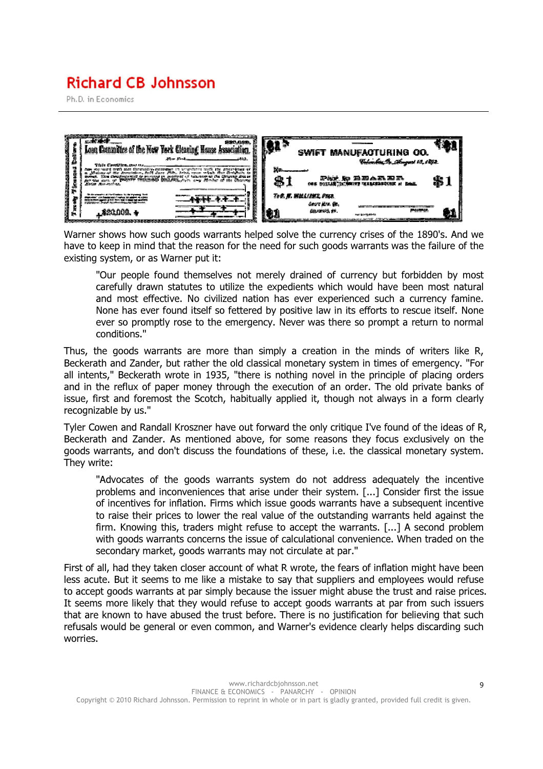Ph.D. in Economics



Warner shows how such goods warrants helped solve the currency crises of the 1890's. And we have to keep in mind that the reason for the need for such goods warrants was the failure of the existing system, or as Warner put it:

"Our people found themselves not merely drained of currency but forbidden by most carefully drawn statutes to utilize the expedients which would have been most natural and most effective. No civilized nation has ever experienced such a currency famine. None has ever found itself so fettered by positive law in its efforts to rescue itself. None ever so promptly rose to the emergency. Never was there so prompt a return to normal conditions."

Thus, the goods warrants are more than simply a creation in the minds of writers like R, Beckerath and Zander, but rather the old classical monetary system in times of emergency. "For all intents," Beckerath wrote in 1935, "there is nothing novel in the principle of placing orders and in the reflux of paper money through the execution of an order. The old private banks of issue, first and foremost the Scotch, habitually applied it, though not always in a form clearly recognizable by us."

Tyler Cowen and Randall Kroszner have out forward the only critique I've found of the ideas of R, Beckerath and Zander. As mentioned above, for some reasons they focus exclusively on the goods warrants, and don't discuss the foundations of these, i.e. the classical monetary system. They write:

"Advocates of the goods warrants system do not address adequately the incentive problems and inconveniences that arise under their system. [...] Consider first the issue of incentives for inflation. Firms which issue goods warrants have a subsequent incentive to raise their prices to lower the real value of the outstanding warrants held against the firm. Knowing this, traders might refuse to accept the warrants. [...] A second problem with goods warrants concerns the issue of calculational convenience. When traded on the secondary market, goods warrants may not circulate at par."

First of all, had they taken closer account of what R wrote, the fears of inflation might have been less acute. But it seems to me like a mistake to say that suppliers and employees would refuse to accept goods warrants at par simply because the issuer might abuse the trust and raise prices. It seems more likely that they would refuse to accept goods warrants at par from such issuers that are known to have abused the trust before. There is no justification for believing that such refusals would be general or even common, and Warner's evidence clearly helps discarding such worries.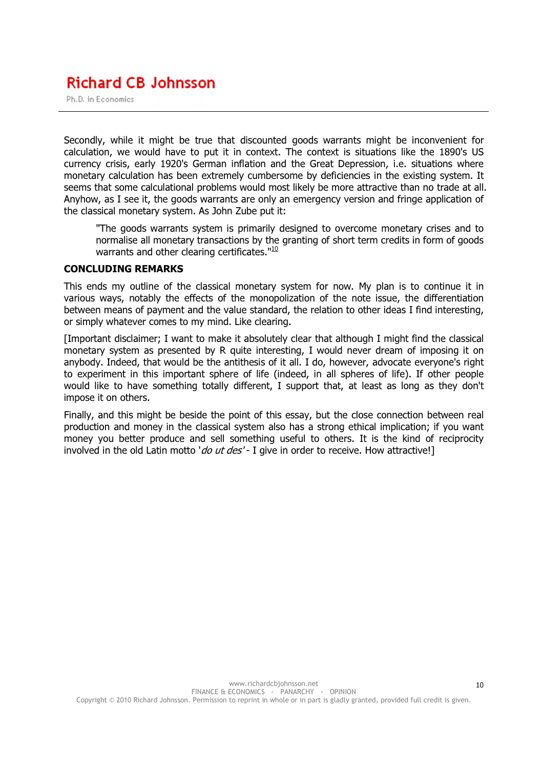Ph.D. in Economics

Secondly, while it might be true that discounted goods warrants might be inconvenient for calculation, we would have to put it in context. The context is situations like the 1890's US currency crisis, early 1920's German inflation and the Great Depression, i.e. situations where monetary calculation has been extremely cumbersome by deficiencies in the existing system. It seems that some calculational problems would most likely be more attractive than no trade at all. Anyhow, as I see it, the goods warrants are only an emergency version and fringe application of the classical monetary system. As John Zube put it:

"The goods warrants system is primarily designed to overcome monetary crises and to normalise all monetary transactions by the granting of short term credits in form of goods warrants and other clearing certificates."<sup>10</sup>

#### CONCLUDING REMARKS

This ends my outline of the classical monetary system for now. My plan is to continue it in various ways, notably the effects of the monopolization of the note issue, the differentiation between means of payment and the value standard, the relation to other ideas I find interesting, or simply whatever comes to my mind. Like clearing.

[Important disclaimer; I want to make it absolutely clear that although I might find the classical monetary system as presented by R quite interesting, I would never dream of imposing it on anybody. Indeed, that would be the antithesis of it all. I do, however, advocate everyone's right to experiment in this important sphere of life (indeed, in all spheres of life). If other people would like to have something totally different, I support that, at least as long as they don't impose it on others.

Finally, and this might be beside the point of this essay, but the close connection between real production and money in the classical system also has a strong ethical implication; if you want money you better produce and sell something useful to others. It is the kind of reciprocity involved in the old Latin motto 'do ut des' - I give in order to receive. How attractive!]